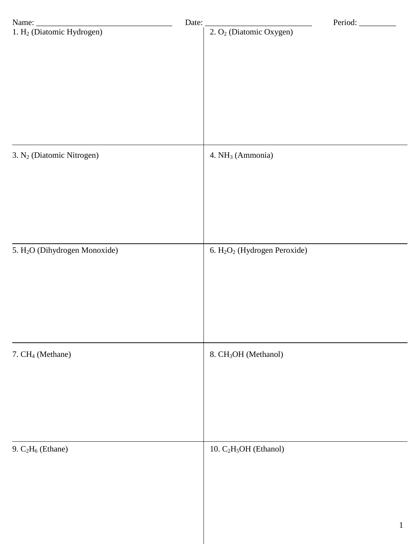|                                           | Date: | Period:                                              |
|-------------------------------------------|-------|------------------------------------------------------|
|                                           |       | $2. O2$ (Diatomic Oxygen)                            |
| 3. N <sub>2</sub> (Diatomic Nitrogen)     |       | 4. NH <sub>3</sub> (Ammonia)                         |
| 5. H <sub>2</sub> O (Dihydrogen Monoxide) |       | 6. H <sub>2</sub> O <sub>2</sub> (Hydrogen Peroxide) |
| 7. CH <sub>4</sub> (Methane)              |       | 8. CH <sub>3</sub> OH (Methanol)                     |
| 9. $C_2H_6$ (Ethane)                      |       | 10. C <sub>2</sub> H <sub>5</sub> OH (Ethanol)       |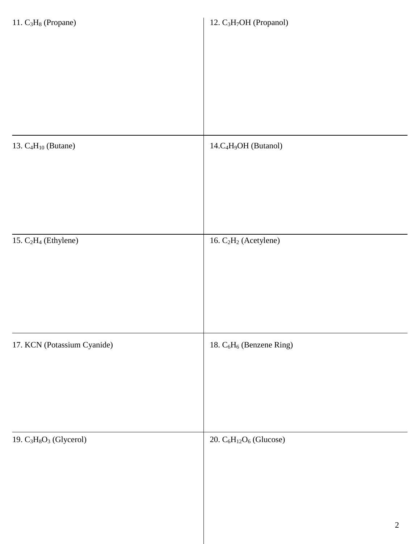| 11. $C_3H_8$ (Propane)      | 12. C <sub>3</sub> H <sub>7</sub> OH (Propanol)  |
|-----------------------------|--------------------------------------------------|
|                             |                                                  |
|                             |                                                  |
|                             |                                                  |
|                             |                                                  |
|                             |                                                  |
| 13. $C_4H_{10}$ (Butane)    | 14.C <sub>4</sub> H <sub>9</sub> OH (Butanol)    |
|                             |                                                  |
|                             |                                                  |
|                             |                                                  |
| 15. $C_2H_4$ (Ethylene)     | 16. $C_2H_2$ (Acetylene)                         |
|                             |                                                  |
|                             |                                                  |
|                             |                                                  |
|                             |                                                  |
| 17. KCN (Potassium Cyanide) | 18. C <sub>6</sub> H <sub>6</sub> (Benzene Ring) |
|                             |                                                  |
|                             |                                                  |
|                             |                                                  |
|                             |                                                  |
| 19. $C_3H_8O_3$ (Glycerol)  | 20. $C_6H_{12}O_6$ (Glucose)                     |
|                             |                                                  |
|                             |                                                  |
|                             |                                                  |
|                             | $\overline{2}$                                   |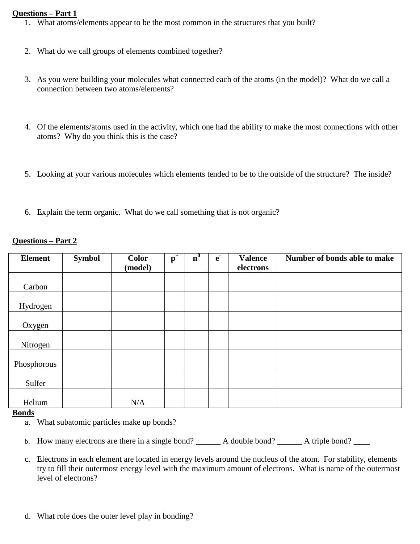## **Questions – Part 1**

- 1. What atoms/elements appear to be the most common in the structures that you built?
- 2. What do we call groups of elements combined together?
- 3. As you were building your molecules what connected each of the atoms (in the model)? What do we call a connection between two atoms/elements?
- 4. Of the elements/atoms used in the activity, which one had the ability to make the most connections with other atoms? Why do you think this is the case?
- 5. Looking at your various molecules which elements tended to be to the outside of the structure? The inside?
- 6. Explain the term organic. What do we call something that is not organic?

## **Questions – Part 2**

| <b>Element</b> | <b>Symbol</b> | <b>Color</b><br>(model) | $\mathbf{p}^+$ | n <sup>0</sup> | $\mathbf{e}$ | <b>Valence</b><br>electrons | Number of bonds able to make |
|----------------|---------------|-------------------------|----------------|----------------|--------------|-----------------------------|------------------------------|
|                |               |                         |                |                |              |                             |                              |
| Carbon         |               |                         |                |                |              |                             |                              |
| Hydrogen       |               |                         |                |                |              |                             |                              |
| Oxygen         |               |                         |                |                |              |                             |                              |
| Nitrogen       |               |                         |                |                |              |                             |                              |
| Phosphorous    |               |                         |                |                |              |                             |                              |
| Sulfer         |               |                         |                |                |              |                             |                              |
| Helium         |               | N/A                     |                |                |              |                             |                              |

## **Bonds**

- a. What subatomic particles make up bonds?
- b. How many electrons are there in a single bond?  $\Box$  A double bond?  $\Box$  A triple bond?
- c. Electrons in each element are located in energy levels around the nucleus of the atom. For stability, elements try to fill their outermost energy level with the maximum amount of electrons. What is name of the outermost level of electrons?
- d. What role does the outer level play in bonding?